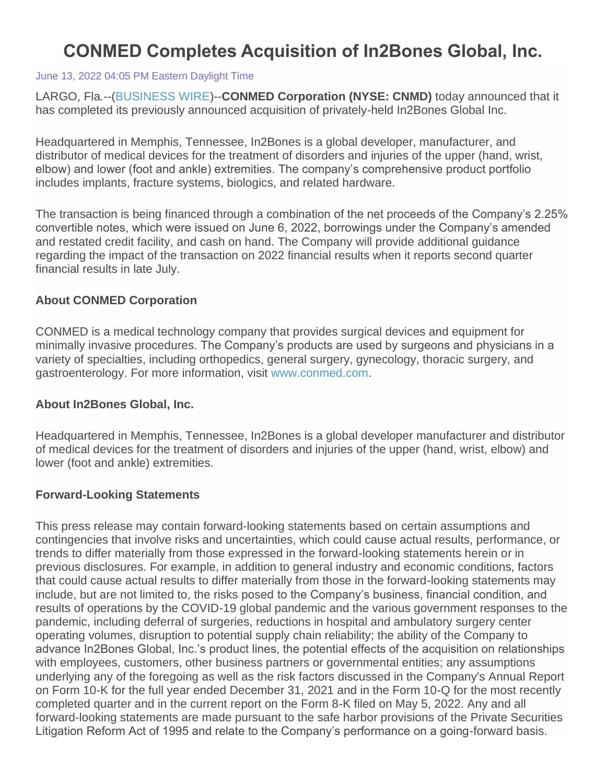# **CONMED Completes Acquisition of In2Bones Global, Inc.**

#### June 13, 2022 04:05 PM Eastern Daylight Time

LARGO, Fla.--[\(BUSINESS WIRE\)](https://www.businesswire.com/)--**CONMED Corporation (NYSE: CNMD)** today announced that it has completed its previously announced acquisition of privately-held In2Bones Global Inc.

Headquartered in Memphis, Tennessee, In2Bones is a global developer, manufacturer, and distributor of medical devices for the treatment of disorders and injuries of the upper (hand, wrist, elbow) and lower (foot and ankle) extremities. The company's comprehensive product portfolio includes implants, fracture systems, biologics, and related hardware.

The transaction is being financed through a combination of the net proceeds of the Company's 2.25% convertible notes, which were issued on June 6, 2022, borrowings under the Company's amended and restated credit facility, and cash on hand. The Company will provide additional guidance regarding the impact of the transaction on 2022 financial results when it reports second quarter financial results in late July.

### **About CONMED Corporation**

CONMED is a medical technology company that provides surgical devices and equipment for minimally invasive procedures. The Company's products are used by surgeons and physicians in a variety of specialties, including orthopedics, general surgery, gynecology, thoracic surgery, and gastroenterology. For more information, visit [www.conmed.com.](https://cts.businesswire.com/ct/CT?id=smartlink&url=http%3A%2F%2Fwww.conmed.com&esheet=52748427&newsitemid=20220613005784&lan=en-US&anchor=www.conmed.com&index=1&md5=7ef96c59e496b999c6edcce5ad7068b0)

#### **About In2Bones Global, Inc.**

Headquartered in Memphis, Tennessee, In2Bones is a global developer manufacturer and distributor of medical devices for the treatment of disorders and injuries of the upper (hand, wrist, elbow) and lower (foot and ankle) extremities.

#### **Forward-Looking Statements**

This press release may contain forward-looking statements based on certain assumptions and contingencies that involve risks and uncertainties, which could cause actual results, performance, or trends to differ materially from those expressed in the forward-looking statements herein or in previous disclosures. For example, in addition to general industry and economic conditions, factors that could cause actual results to differ materially from those in the forward-looking statements may include, but are not limited to, the risks posed to the Company's business, financial condition, and results of operations by the COVID-19 global pandemic and the various government responses to the pandemic, including deferral of surgeries, reductions in hospital and ambulatory surgery center operating volumes, disruption to potential supply chain reliability; the ability of the Company to advance In2Bones Global, Inc.'s product lines, the potential effects of the acquisition on relationships with employees, customers, other business partners or governmental entities; any assumptions underlying any of the foregoing as well as the risk factors discussed in the Company's Annual Report on Form 10-K for the full year ended December 31, 2021 and in the Form 10-Q for the most recently completed quarter and in the current report on the Form 8-K filed on May 5, 2022. Any and all forward-looking statements are made pursuant to the safe harbor provisions of the Private Securities Litigation Reform Act of 1995 and relate to the Company's performance on a going-forward basis.